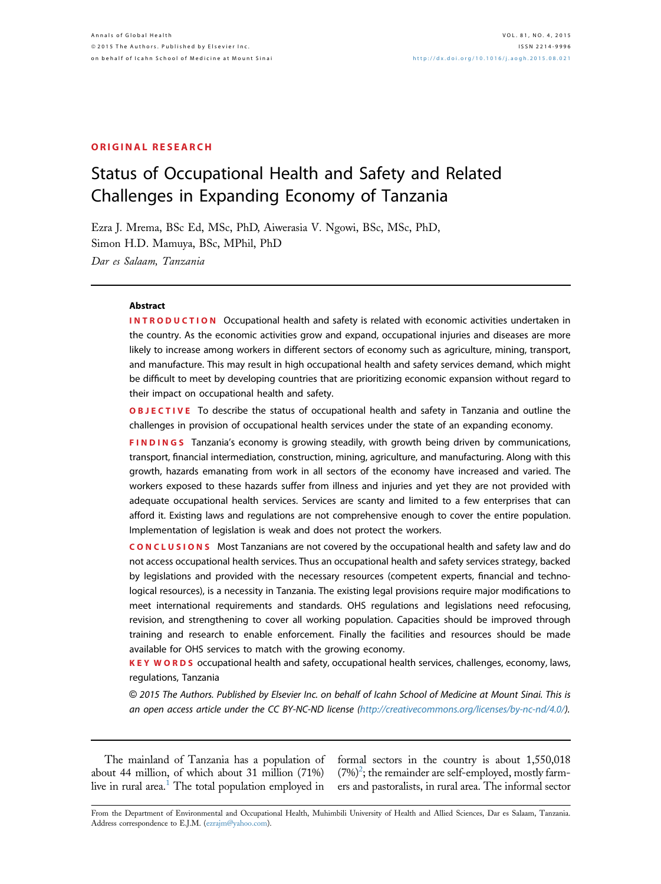#### ORIGINAL RESEARCH

# Status of Occupational Health and Safety and Related Challenges in Expanding Economy of Tanzania

Ezra J. Mrema, BSc Ed, MSc, PhD, Aiwerasia V. Ngowi, BSc, MSc, PhD, Simon H.D. Mamuya, BSc, MPhil, PhD Dar es Salaam, Tanzania

#### Abstract

INTRODUCTION Occupational health and safety is related with economic activities undertaken in the country. As the economic activities grow and expand, occupational injuries and diseases are more likely to increase among workers in different sectors of economy such as agriculture, mining, transport, and manufacture. This may result in high occupational health and safety services demand, which might be difficult to meet by developing countries that are prioritizing economic expansion without regard to their impact on occupational health and safety.

OBJECTIVE To describe the status of occupational health and safety in Tanzania and outline the challenges in provision of occupational health services under the state of an expanding economy.

**FINDINGS** Tanzania's economy is growing steadily, with growth being driven by communications, transport, financial intermediation, construction, mining, agriculture, and manufacturing. Along with this growth, hazards emanating from work in all sectors of the economy have increased and varied. The workers exposed to these hazards suffer from illness and injuries and yet they are not provided with adequate occupational health services. Services are scanty and limited to a few enterprises that can afford it. Existing laws and regulations are not comprehensive enough to cover the entire population. Implementation of legislation is weak and does not protect the workers.

CONCLUSIONS Most Tanzanians are not covered by the occupational health and safety law and do not access occupational health services. Thus an occupational health and safety services strategy, backed by legislations and provided with the necessary resources (competent experts, financial and technological resources), is a necessity in Tanzania. The existing legal provisions require major modifications to meet international requirements and standards. OHS regulations and legislations need refocusing, revision, and strengthening to cover all working population. Capacities should be improved through training and research to enable enforcement. Finally the facilities and resources should be made available for OHS services to match with the growing economy.

KEY WORDS occupational health and safety, occupational health services, challenges, economy, laws, regulations, Tanzania

© 2015 The Authors. Published by Elsevier Inc. on behalf of Icahn School of Medicine at Mount Sinai. This is an open access article under the CC BY-NC-ND license ([http://creativecommons.org/licenses/by-nc-nd/4.0/](http://creativecommons.org/licenses/by-nc-nd/4.�0/)).

The mainland of Tanzania has a population of about 44 million, of which about 31 million (71%) live in rural area.<sup>[1](#page-8-0)</sup> The total population employed in

formal sectors in the country is about 1,550,018  $(7%)^2$ ; the remainder are self-employed, mostly farmers and pastoralists, in rural area. The informal sector

From the Department of Environmental and Occupational Health, Muhimbili University of Health and Allied Sciences, Dar es Salaam, Tanzania. Address correspondence to E.J.M. ([ezrajm@yahoo.com\)](mailto:ezrajm@yahoo.com).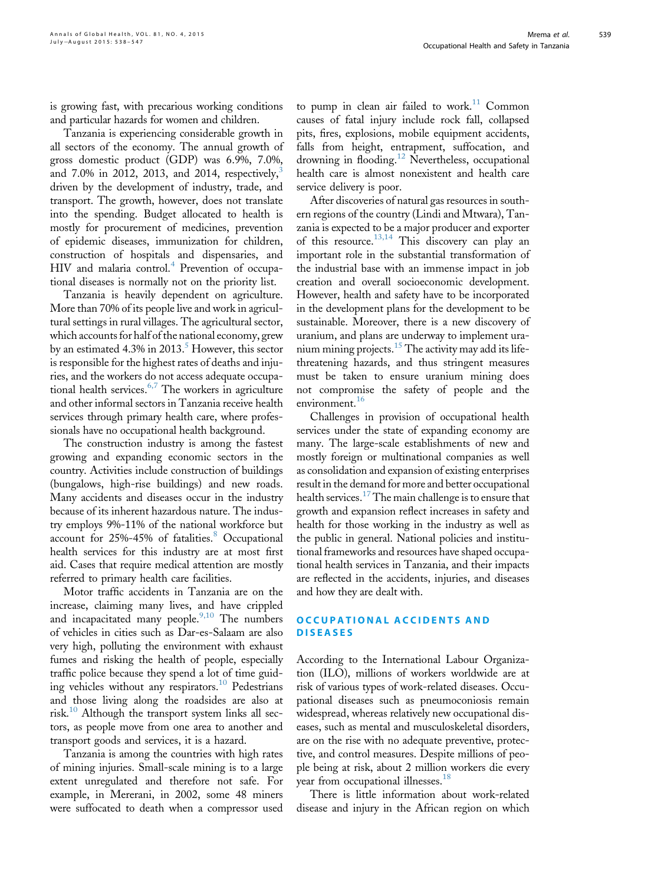is growing fast, with precarious working conditions and particular hazards for women and children.

Tanzania is experiencing considerable growth in all sectors of the economy. The annual growth of gross domestic product (GDP) was 6.9%, 7.0%, and 7.0% in 2012, 201[3](#page-8-0), and 2014, respectively, driven by the development of industry, trade, and transport. The growth, however, does not translate into the spending. Budget allocated to health is mostly for procurement of medicines, prevention of epidemic diseases, immunization for children, construction of hospitals and dispensaries, and HIV and malaria control.<sup>[4](#page-8-0)</sup> Prevention of occupational diseases is normally not on the priority list.

Tanzania is heavily dependent on agriculture. More than 70% of its people live and work in agricultural settings in rural villages. The agricultural sector, which accounts for half of the national economy, grew by an estimated  $4.3\%$  in  $2013<sup>5</sup>$  $2013<sup>5</sup>$  $2013<sup>5</sup>$  However, this sector is responsible for the highest rates of deaths and injuries, and the workers do not access adequate occupa-tional health services.<sup>[6,7](#page-8-0)</sup> The workers in agriculture and other informal sectors in Tanzania receive health services through primary health care, where professionals have no occupational health background.

The construction industry is among the fastest growing and expanding economic sectors in the country. Activities include construction of buildings (bungalows, high-rise buildings) and new roads. Many accidents and diseases occur in the industry because of its inherent hazardous nature. The industry employs 9%-11% of the national workforce but account for 25%-45% of fatalities.<sup>[8](#page-8-0)</sup> Occupational health services for this industry are at most first aid. Cases that require medical attention are mostly referred to primary health care facilities.

Motor traffic accidents in Tanzania are on the increase, claiming many lives, and have crippled and incapacitated many people. $9,10$  The numbers of vehicles in cities such as Dar-es-Salaam are also very high, polluting the environment with exhaust fumes and risking the health of people, especially traffic police because they spend a lot of time guid-ing vehicles without any respirators.<sup>[10](#page-8-0)</sup> Pedestrians and those living along the roadsides are also at risk.<sup>[10](#page-8-0)</sup> Although the transport system links all sectors, as people move from one area to another and transport goods and services, it is a hazard.

Tanzania is among the countries with high rates of mining injuries. Small-scale mining is to a large extent unregulated and therefore not safe. For example, in Mererani, in 2002, some 48 miners were suffocated to death when a compressor used to pump in clean air failed to work.<sup>[11](#page-8-0)</sup> Common causes of fatal injury include rock fall, collapsed pits, fires, explosions, mobile equipment accidents, falls from height, entrapment, suffocation, and drowning in flooding.<sup>[12](#page-8-0)</sup> Nevertheless, occupational health care is almost nonexistent and health care service delivery is poor.

After discoveries of natural gas resources in southern regions of the country (Lindi and Mtwara), Tanzania is expected to be a major producer and exporter of this resource.<sup>[13,14](#page-8-0)</sup> This discovery can play an important role in the substantial transformation of the industrial base with an immense impact in job creation and overall socioeconomic development. However, health and safety have to be incorporated in the development plans for the development to be sustainable. Moreover, there is a new discovery of uranium, and plans are underway to implement ura-nium mining projects.<sup>[15](#page-8-0)</sup> The activity may add its lifethreatening hazards, and thus stringent measures must be taken to ensure uranium mining does not compromise the safety of people and the environment.<sup>[16](#page-8-0)</sup>

Challenges in provision of occupational health services under the state of expanding economy are many. The large-scale establishments of new and mostly foreign or multinational companies as well as consolidation and expansion of existing enterprises result in the demand for more and better occupational health services.<sup>[17](#page-8-0)</sup> The main challenge is to ensure that growth and expansion reflect increases in safety and health for those working in the industry as well as the public in general. National policies and institutional frameworks and resources have shaped occupational health services in Tanzania, and their impacts are reflected in the accidents, injuries, and diseases and how they are dealt with.

## OCCUPATIONAL ACCIDENTS AND DISEASES

According to the International Labour Organization (ILO), millions of workers worldwide are at risk of various types of work-related diseases. Occupational diseases such as pneumoconiosis remain widespread, whereas relatively new occupational diseases, such as mental and musculoskeletal disorders, are on the rise with no adequate preventive, protective, and control measures. Despite millions of people being at risk, about 2 million workers die every year from occupational illnesses.<sup>[18](#page-8-0)</sup>

There is little information about work-related disease and injury in the African region on which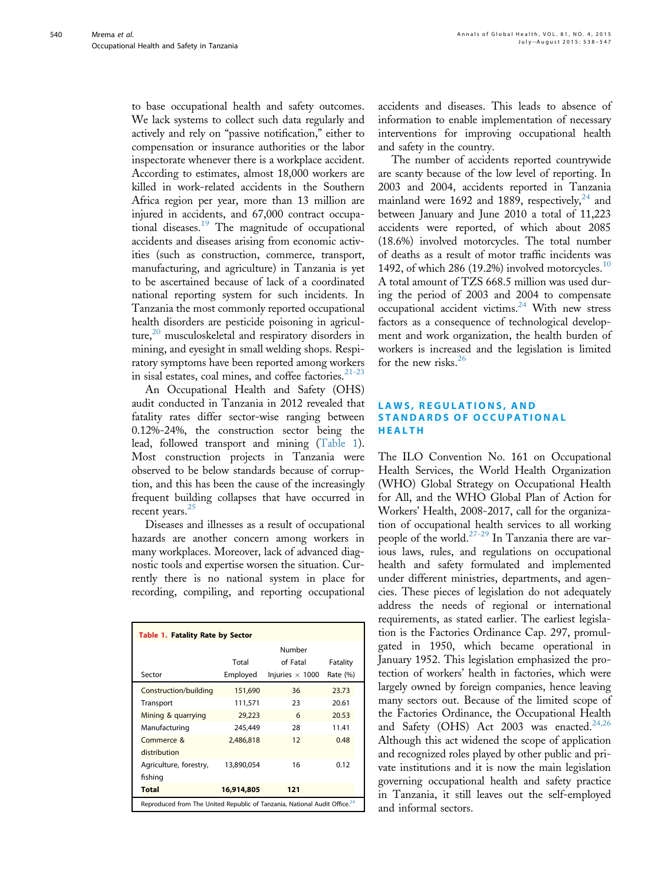to base occupational health and safety outcomes. We lack systems to collect such data regularly and actively and rely on "passive notification," either to compensation or insurance authorities or the labor inspectorate whenever there is a workplace accident. According to estimates, almost 18,000 workers are killed in work-related accidents in the Southern Africa region per year, more than 13 million are injured in accidents, and 67,000 contract occupa-tional diseases.<sup>[19](#page-8-0)</sup> The magnitude of occupational accidents and diseases arising from economic activities (such as construction, commerce, transport, manufacturing, and agriculture) in Tanzania is yet to be ascertained because of lack of a coordinated national reporting system for such incidents. In Tanzania the most commonly reported occupational health disorders are pesticide poisoning in agriculture, $20$  musculoskeletal and respiratory disorders in mining, and eyesight in small welding shops. Respiratory symptoms have been reported among workers in sisal estates, coal mines, and coffee factories. $2^{1-23}$ 

An Occupational Health and Safety (OHS) audit conducted in Tanzania in 2012 revealed that fatality rates differ sector-wise ranging between 0.12%-24%, the construction sector being the lead, followed transport and mining (Table 1). Most construction projects in Tanzania were observed to be below standards because of corruption, and this has been the cause of the increasingly frequent building collapses that have occurred in recent years.<sup>[25](#page-8-0)</sup>

Diseases and illnesses as a result of occupational hazards are another concern among workers in many workplaces. Moreover, lack of advanced diagnostic tools and expertise worsen the situation. Currently there is no national system in place for recording, compiling, and reporting occupational

| <b>Table 1. Fatality Rate by Sector</b>                                               |            |                        |             |  |  |  |  |  |
|---------------------------------------------------------------------------------------|------------|------------------------|-------------|--|--|--|--|--|
|                                                                                       | Number     |                        |             |  |  |  |  |  |
|                                                                                       | Total      | of Fatal               | Fatality    |  |  |  |  |  |
| Sector                                                                                | Employed   | Injuries $\times$ 1000 | Rate $(\%)$ |  |  |  |  |  |
| Construction/building                                                                 | 151,690    | 36                     | 23.73       |  |  |  |  |  |
| Transport                                                                             | 111,571    | 23                     | 20.61       |  |  |  |  |  |
| Mining & guarrying                                                                    | 29,223     | 6                      | 20.53       |  |  |  |  |  |
| Manufacturing                                                                         | 245,449    | 28                     | 11.41       |  |  |  |  |  |
| Commerce &                                                                            | 2,486,818  | 12                     | 0.48        |  |  |  |  |  |
| distribution                                                                          |            |                        |             |  |  |  |  |  |
| Agriculture, forestry,                                                                | 13,890,054 | 16                     | 0.12        |  |  |  |  |  |
| fishing                                                                               |            |                        |             |  |  |  |  |  |
| Total                                                                                 | 16,914,805 | 121                    |             |  |  |  |  |  |
| Reproduced from The United Republic of Tanzania, National Audit Office. <sup>24</sup> |            |                        |             |  |  |  |  |  |

accidents and diseases. This leads to absence of information to enable implementation of necessary interventions for improving occupational health and safety in the country.

The number of accidents reported countrywide are scanty because of the low level of reporting. In 2003 and 2004, accidents reported in Tanzania mainland were 1692 and 1889, respectively,  $24$  and between January and June 2010 a total of 11,223 accidents were reported, of which about 2085 (18.6%) involved motorcycles. The total number of deaths as a result of motor traffic incidents was 1492, of which 286 (19.2%) involved motorcycles. $^{10}$  $^{10}$  $^{10}$ A total amount of TZS 668.5 million was used during the period of 2003 and 2004 to compensate occupational accident victims.<sup>[24](#page-8-0)</sup> With new stress factors as a consequence of technological development and work organization, the health burden of workers is increased and the legislation is limited for the new risks.<sup>[26](#page-8-0)</sup>

# LAWS, REGULATIONS, AND STANDARDS OF OCCUPATIONAL HEALTH

The ILO Convention No. 161 on Occupational Health Services, the World Health Organization (WHO) Global Strategy on Occupational Health for All, and the WHO Global Plan of Action for Workers' Health, 2008-2017, call for the organization of occupational health services to all working people of the world.<sup>[27-29](#page-8-0)</sup> In Tanzania there are various laws, rules, and regulations on occupational health and safety formulated and implemented under different ministries, departments, and agencies. These pieces of legislation do not adequately address the needs of regional or international requirements, as stated earlier. The earliest legislation is the Factories Ordinance Cap. 297, promulgated in 1950, which became operational in January 1952. This legislation emphasized the protection of workers' health in factories, which were largely owned by foreign companies, hence leaving many sectors out. Because of the limited scope of the Factories Ordinance, the Occupational Health and Safety (OHS) Act 2003 was enacted.<sup>[24,26](#page-8-0)</sup> Although this act widened the scope of application and recognized roles played by other public and private institutions and it is now the main legislation governing occupational health and safety practice in Tanzania, it still leaves out the self-employed and informal sectors.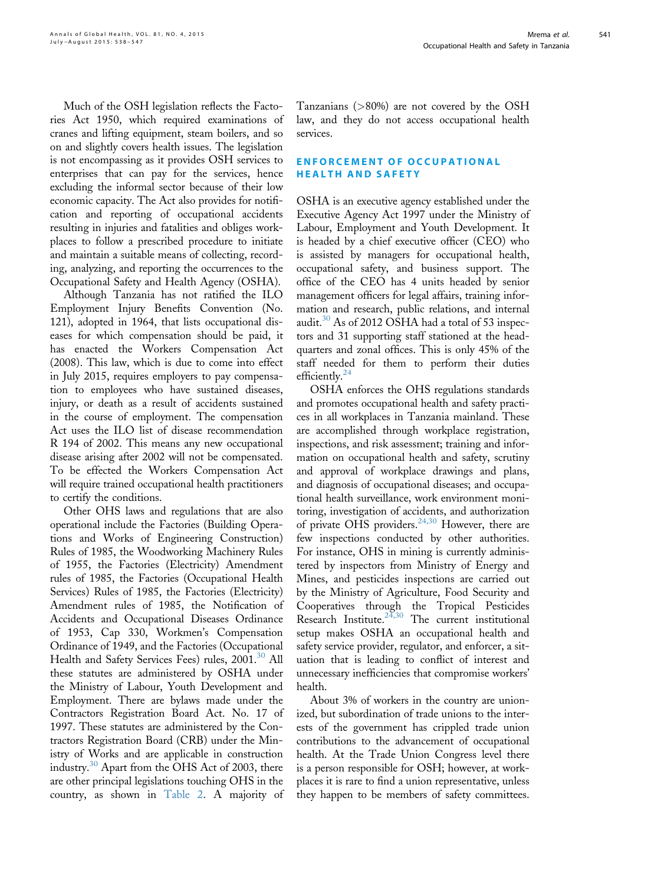Much of the OSH legislation reflects the Factories Act 1950, which required examinations of cranes and lifting equipment, steam boilers, and so on and slightly covers health issues. The legislation is not encompassing as it provides OSH services to enterprises that can pay for the services, hence excluding the informal sector because of their low economic capacity. The Act also provides for notification and reporting of occupational accidents resulting in injuries and fatalities and obliges workplaces to follow a prescribed procedure to initiate and maintain a suitable means of collecting, recording, analyzing, and reporting the occurrences to the Occupational Safety and Health Agency (OSHA).

Although Tanzania has not ratified the ILO Employment Injury Benefits Convention (No. 121), adopted in 1964, that lists occupational diseases for which compensation should be paid, it has enacted the Workers Compensation Act (2008). This law, which is due to come into effect in July 2015, requires employers to pay compensation to employees who have sustained diseases, injury, or death as a result of accidents sustained in the course of employment. The compensation Act uses the ILO list of disease recommendation R 194 of 2002. This means any new occupational disease arising after 2002 will not be compensated. To be effected the Workers Compensation Act will require trained occupational health practitioners to certify the conditions.

Other OHS laws and regulations that are also operational include the Factories (Building Operations and Works of Engineering Construction) Rules of 1985, the Woodworking Machinery Rules of 1955, the Factories (Electricity) Amendment rules of 1985, the Factories (Occupational Health Services) Rules of 1985, the Factories (Electricity) Amendment rules of 1985, the Notification of Accidents and Occupational Diseases Ordinance of 1953, Cap 330, Workmen's Compensation Ordinance of 1949, and the Factories (Occupational Health and Safety Services Fees) rules, 2001.<sup>[30](#page-8-0)</sup> All these statutes are administered by OSHA under the Ministry of Labour, Youth Development and Employment. There are bylaws made under the Contractors Registration Board Act. No. 17 of 1997. These statutes are administered by the Contractors Registration Board (CRB) under the Ministry of Works and are applicable in construction industry.<sup>30</sup> Apart from the OHS Act of 2003, there are other principal legislations touching OHS in the country, as shown in [Table 2.](#page-4-0) A majority of

Tanzanians (>80%) are not covered by the OSH law, and they do not access occupational health services.

# ENFORCEMENT OF OCCUPATIONAL HEALTH AND SAFETY

OSHA is an executive agency established under the Executive Agency Act 1997 under the Ministry of Labour, Employment and Youth Development. It is headed by a chief executive officer (CEO) who is assisted by managers for occupational health, occupational safety, and business support. The office of the CEO has 4 units headed by senior management officers for legal affairs, training information and research, public relations, and internal audit.<sup>30</sup> As of 2012 OSHA had a total of 53 inspectors and 31 supporting staff stationed at the headquarters and zonal offices. This is only 45% of the staff needed for them to perform their duties efficiently. $^{24}$  $^{24}$  $^{24}$ 

OSHA enforces the OHS regulations standards and promotes occupational health and safety practices in all workplaces in Tanzania mainland. These are accomplished through workplace registration, inspections, and risk assessment; training and information on occupational health and safety, scrutiny and approval of workplace drawings and plans, and diagnosis of occupational diseases; and occupational health surveillance, work environment monitoring, investigation of accidents, and authorization of private OHS providers.[24,30](#page-8-0) However, there are few inspections conducted by other authorities. For instance, OHS in mining is currently administered by inspectors from Ministry of Energy and Mines, and pesticides inspections are carried out by the Ministry of Agriculture, Food Security and Cooperatives through the Tropical Pesticides Research Institute. $24,30$  The current institutional setup makes OSHA an occupational health and safety service provider, regulator, and enforcer, a situation that is leading to conflict of interest and unnecessary inefficiencies that compromise workers' health.

About 3% of workers in the country are unionized, but subordination of trade unions to the interests of the government has crippled trade union contributions to the advancement of occupational health. At the Trade Union Congress level there is a person responsible for OSH; however, at workplaces it is rare to find a union representative, unless they happen to be members of safety committees.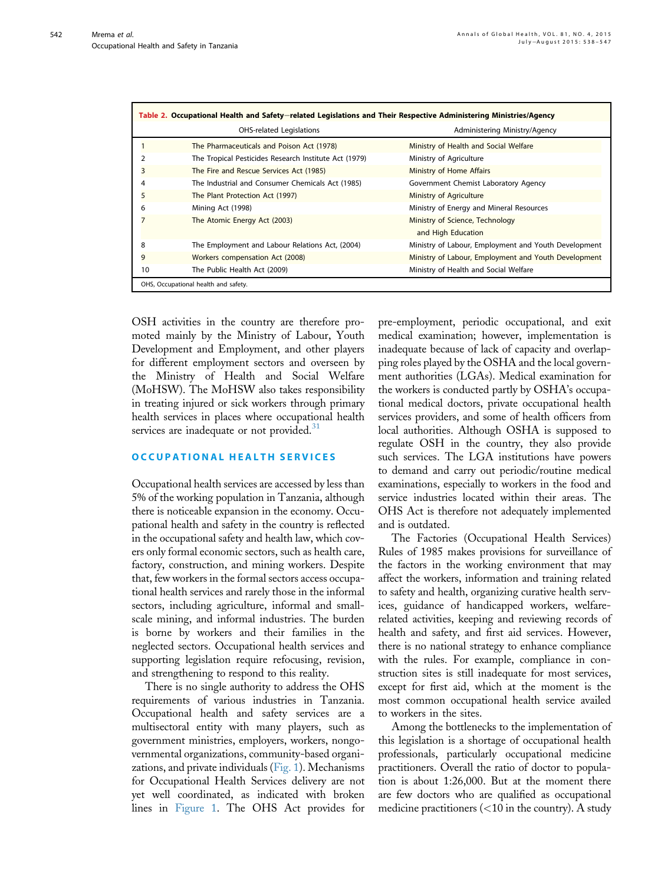<span id="page-4-0"></span>

| Table 2. Occupational Health and Safety-related Legislations and Their Respective Administering Ministries/Agency |                                                       |                                                      |  |  |
|-------------------------------------------------------------------------------------------------------------------|-------------------------------------------------------|------------------------------------------------------|--|--|
|                                                                                                                   | <b>OHS-related Legislations</b>                       | Administering Ministry/Agency                        |  |  |
|                                                                                                                   | The Pharmaceuticals and Poison Act (1978)             | Ministry of Health and Social Welfare                |  |  |
|                                                                                                                   | The Tropical Pesticides Research Institute Act (1979) | Ministry of Agriculture                              |  |  |
| 3                                                                                                                 | The Fire and Rescue Services Act (1985)               | Ministry of Home Affairs                             |  |  |
|                                                                                                                   | The Industrial and Consumer Chemicals Act (1985)      | Government Chemist Laboratory Agency                 |  |  |
| 5                                                                                                                 | The Plant Protection Act (1997)                       | Ministry of Agriculture                              |  |  |
| 6                                                                                                                 | Mining Act (1998)                                     | Ministry of Energy and Mineral Resources             |  |  |
| 7                                                                                                                 | The Atomic Energy Act (2003)                          | Ministry of Science, Technology                      |  |  |
|                                                                                                                   |                                                       | and High Education                                   |  |  |
| 8                                                                                                                 | The Employment and Labour Relations Act, (2004)       | Ministry of Labour, Employment and Youth Development |  |  |
| 9                                                                                                                 | Workers compensation Act (2008)                       | Ministry of Labour, Employment and Youth Development |  |  |
| 10                                                                                                                | The Public Health Act (2009)                          | Ministry of Health and Social Welfare                |  |  |
|                                                                                                                   | OHS, Occupational health and safety.                  |                                                      |  |  |

OSH activities in the country are therefore promoted mainly by the Ministry of Labour, Youth Development and Employment, and other players for different employment sectors and overseen by the Ministry of Health and Social Welfare (MoHSW). The MoHSW also takes responsibility in treating injured or sick workers through primary health services in places where occupational health services are inadequate or not provided. $31$ 

## OCCUPATIONAL HEALTH SERVICES

Occupational health services are accessed by less than 5% of the working population in Tanzania, although there is noticeable expansion in the economy. Occupational health and safety in the country is reflected in the occupational safety and health law, which covers only formal economic sectors, such as health care, factory, construction, and mining workers. Despite that, few workers in the formal sectors access occupational health services and rarely those in the informal sectors, including agriculture, informal and smallscale mining, and informal industries. The burden is borne by workers and their families in the neglected sectors. Occupational health services and supporting legislation require refocusing, revision, and strengthening to respond to this reality.

There is no single authority to address the OHS requirements of various industries in Tanzania. Occupational health and safety services are a multisectoral entity with many players, such as government ministries, employers, workers, nongovernmental organizations, community-based organizations, and private individuals [\(Fig. 1\)](#page-5-0). Mechanisms for Occupational Health Services delivery are not yet well coordinated, as indicated with broken lines in [Figure 1.](#page-5-0) The OHS Act provides for pre-employment, periodic occupational, and exit medical examination; however, implementation is inadequate because of lack of capacity and overlapping roles played by the OSHA and the local government authorities (LGAs). Medical examination for the workers is conducted partly by OSHA's occupational medical doctors, private occupational health services providers, and some of health officers from local authorities. Although OSHA is supposed to regulate OSH in the country, they also provide such services. The LGA institutions have powers to demand and carry out periodic/routine medical examinations, especially to workers in the food and service industries located within their areas. The OHS Act is therefore not adequately implemented and is outdated.

The Factories (Occupational Health Services) Rules of 1985 makes provisions for surveillance of the factors in the working environment that may affect the workers, information and training related to safety and health, organizing curative health services, guidance of handicapped workers, welfarerelated activities, keeping and reviewing records of health and safety, and first aid services. However, there is no national strategy to enhance compliance with the rules. For example, compliance in construction sites is still inadequate for most services, except for first aid, which at the moment is the most common occupational health service availed to workers in the sites.

Among the bottlenecks to the implementation of this legislation is a shortage of occupational health professionals, particularly occupational medicine practitioners. Overall the ratio of doctor to population is about 1:26,000. But at the moment there are few doctors who are qualified as occupational medicine practitioners  $\left($  < 10 in the country). A study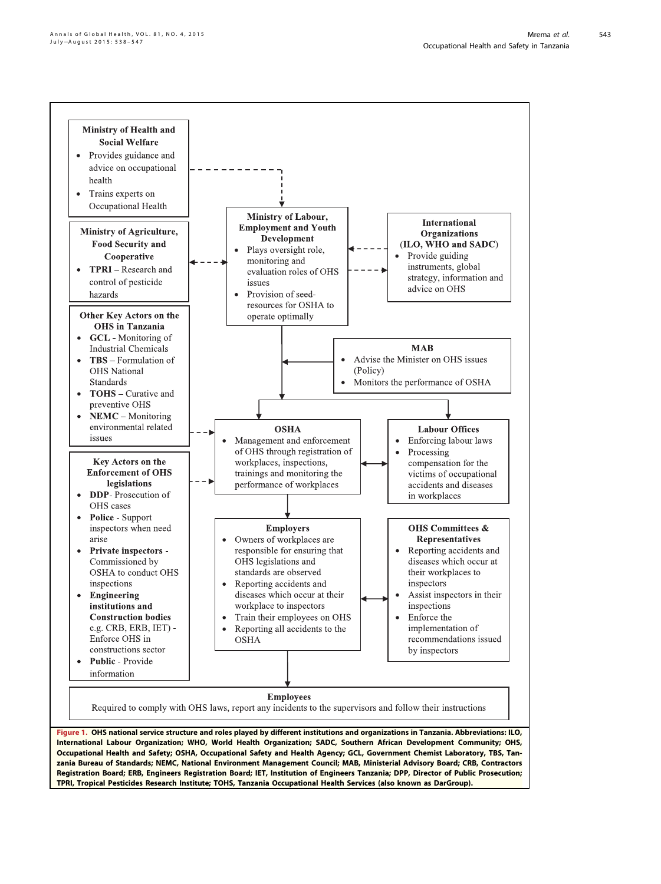<span id="page-5-0"></span>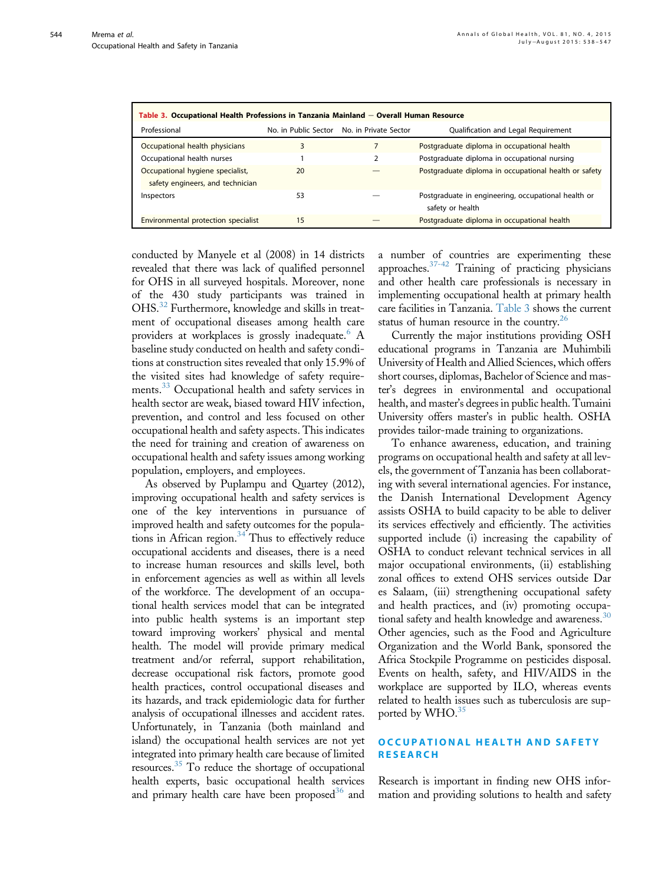| Table 3. Occupational Health Professions in Tanzania Mainland - Overall Human Resource |    |                                            |                                                       |  |  |  |
|----------------------------------------------------------------------------------------|----|--------------------------------------------|-------------------------------------------------------|--|--|--|
| Professional                                                                           |    | No. in Public Sector No. in Private Sector | Qualification and Legal Requirement                   |  |  |  |
| Occupational health physicians                                                         |    |                                            | Postgraduate diploma in occupational health           |  |  |  |
| Occupational health nurses                                                             |    |                                            | Postgraduate diploma in occupational nursing          |  |  |  |
| Occupational hygiene specialist,                                                       | 20 |                                            | Postgraduate diploma in occupational health or safety |  |  |  |
| safety engineers, and technician                                                       |    |                                            |                                                       |  |  |  |
| Inspectors                                                                             | 53 |                                            | Postgraduate in engineering, occupational health or   |  |  |  |
|                                                                                        |    |                                            | safety or health                                      |  |  |  |
| Environmental protection specialist                                                    | 15 |                                            | Postgraduate diploma in occupational health           |  |  |  |

conducted by Manyele et al (2008) in 14 districts revealed that there was lack of qualified personnel for OHS in all surveyed hospitals. Moreover, none of the 430 study participants was trained in OHS.<sup>[32](#page-8-0)</sup> Furthermore, knowledge and skills in treatment of occupational diseases among health care providers at workplaces is grossly inadequate.<sup>[6](#page-8-0)</sup> A baseline study conducted on health and safety conditions at construction sites revealed that only 15.9% of the visited sites had knowledge of safety require-ments.<sup>[33](#page-8-0)</sup> Occupational health and safety services in health sector are weak, biased toward HIV infection, prevention, and control and less focused on other occupational health and safety aspects. This indicates the need for training and creation of awareness on occupational health and safety issues among working population, employers, and employees.

As observed by Puplampu and Quartey (2012), improving occupational health and safety services is one of the key interventions in pursuance of improved health and safety outcomes for the popula-tions in African region.<sup>[34](#page-9-0)</sup> Thus to effectively reduce occupational accidents and diseases, there is a need to increase human resources and skills level, both in enforcement agencies as well as within all levels of the workforce. The development of an occupational health services model that can be integrated into public health systems is an important step toward improving workers' physical and mental health. The model will provide primary medical treatment and/or referral, support rehabilitation, decrease occupational risk factors, promote good health practices, control occupational diseases and its hazards, and track epidemiologic data for further analysis of occupational illnesses and accident rates. Unfortunately, in Tanzania (both mainland and island) the occupational health services are not yet integrated into primary health care because of limited resources.<sup>35</sup> To reduce the shortage of occupational health experts, basic occupational health services and primary health care have been proposed<sup>[36](#page-9-0)</sup> and

a number of countries are experimenting these approaches[.37-42](#page-9-0) Training of practicing physicians and other health care professionals is necessary in implementing occupational health at primary health care facilities in Tanzania. Table 3 shows the current status of human resource in the country. $^{26}$ 

Currently the major institutions providing OSH educational programs in Tanzania are Muhimbili University of Health and Allied Sciences, which offers short courses, diplomas, Bachelor of Science and master's degrees in environmental and occupational health, and master's degrees in public health. Tumaini University offers master's in public health. OSHA provides tailor-made training to organizations.

To enhance awareness, education, and training programs on occupational health and safety at all levels, the government of Tanzania has been collaborating with several international agencies. For instance, the Danish International Development Agency assists OSHA to build capacity to be able to deliver its services effectively and efficiently. The activities supported include (i) increasing the capability of OSHA to conduct relevant technical services in all major occupational environments, (ii) establishing zonal offices to extend OHS services outside Dar es Salaam, (iii) strengthening occupational safety and health practices, and (iv) promoting occupa-tional safety and health knowledge and awareness.<sup>[30](#page-8-0)</sup> Other agencies, such as the Food and Agriculture Organization and the World Bank, sponsored the Africa Stockpile Programme on pesticides disposal. Events on health, safety, and HIV/AIDS in the workplace are supported by ILO, whereas events related to health issues such as tuberculosis are sup-ported by WHO.<sup>[35](#page-9-0)</sup>

# OCCUPATIONAL HEALTH AND SAFETY RESEARCH

Research is important in finding new OHS information and providing solutions to health and safety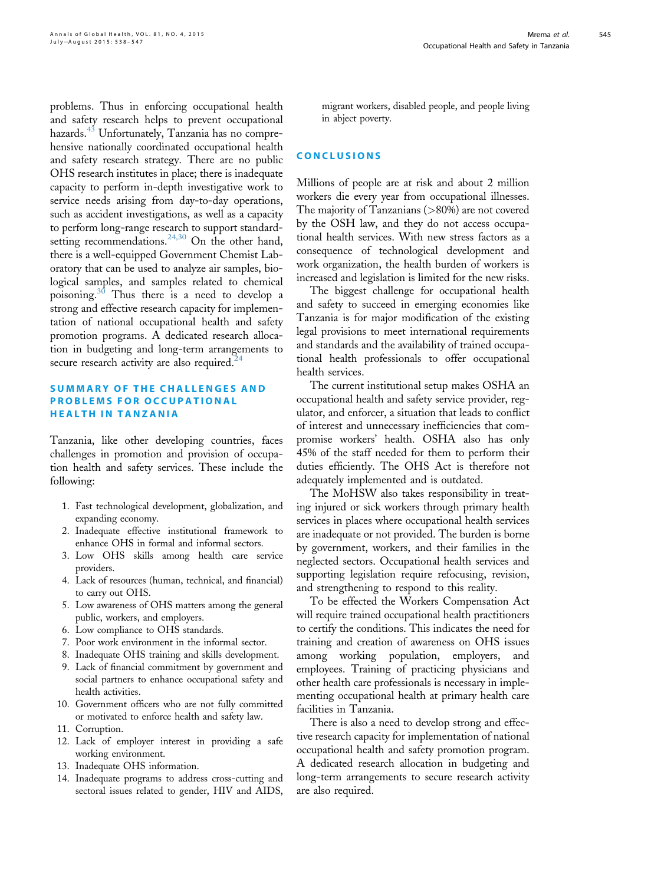problems. Thus in enforcing occupational health and safety research helps to prevent occupational hazards.<sup>[43](#page-9-0)</sup> Unfortunately, Tanzania has no comprehensive nationally coordinated occupational health and safety research strategy. There are no public OHS research institutes in place; there is inadequate capacity to perform in-depth investigative work to service needs arising from day-to-day operations, such as accident investigations, as well as a capacity to perform long-range research to support standard-setting recommendations.<sup>[24,30](#page-8-0)</sup> On the other hand, there is a well-equipped Government Chemist Laboratory that can be used to analyze air samples, biological samples, and samples related to chemical poisoning.<sup>[30](#page-8-0)</sup> Thus there is a need to develop a strong and effective research capacity for implementation of national occupational health and safety promotion programs. A dedicated research allocation in budgeting and long-term arrangements to secure research activity are also required. $^{24}$  $^{24}$  $^{24}$ 

### SUMMARY OF THE CHALLENGES AND PROBLEMS FOR OCCUPATIONAL HEALTH IN TANZANIA

Tanzania, like other developing countries, faces challenges in promotion and provision of occupation health and safety services. These include the following:

- 1. Fast technological development, globalization, and expanding economy.
- 2. Inadequate effective institutional framework to enhance OHS in formal and informal sectors.
- 3. Low OHS skills among health care service providers.
- 4. Lack of resources (human, technical, and financial) to carry out OHS.
- 5. Low awareness of OHS matters among the general public, workers, and employers.
- 6. Low compliance to OHS standards.
- 7. Poor work environment in the informal sector.
- 8. Inadequate OHS training and skills development.
- 9. Lack of financial commitment by government and social partners to enhance occupational safety and health activities.
- 10. Government officers who are not fully committed or motivated to enforce health and safety law.
- 11. Corruption.
- 12. Lack of employer interest in providing a safe working environment.
- 13. Inadequate OHS information.
- 14. Inadequate programs to address cross-cutting and sectoral issues related to gender, HIV and AIDS,

migrant workers, disabled people, and people living in abject poverty.

# **CONCLUSIONS**

Millions of people are at risk and about 2 million workers die every year from occupational illnesses. The majority of Tanzanians (>80%) are not covered by the OSH law, and they do not access occupational health services. With new stress factors as a consequence of technological development and work organization, the health burden of workers is increased and legislation is limited for the new risks.

The biggest challenge for occupational health and safety to succeed in emerging economies like Tanzania is for major modification of the existing legal provisions to meet international requirements and standards and the availability of trained occupational health professionals to offer occupational health services.

The current institutional setup makes OSHA an occupational health and safety service provider, regulator, and enforcer, a situation that leads to conflict of interest and unnecessary inefficiencies that compromise workers' health. OSHA also has only 45% of the staff needed for them to perform their duties efficiently. The OHS Act is therefore not adequately implemented and is outdated.

The MoHSW also takes responsibility in treating injured or sick workers through primary health services in places where occupational health services are inadequate or not provided. The burden is borne by government, workers, and their families in the neglected sectors. Occupational health services and supporting legislation require refocusing, revision, and strengthening to respond to this reality.

To be effected the Workers Compensation Act will require trained occupational health practitioners to certify the conditions. This indicates the need for training and creation of awareness on OHS issues among working population, employers, and employees. Training of practicing physicians and other health care professionals is necessary in implementing occupational health at primary health care facilities in Tanzania.

There is also a need to develop strong and effective research capacity for implementation of national occupational health and safety promotion program. A dedicated research allocation in budgeting and long-term arrangements to secure research activity are also required.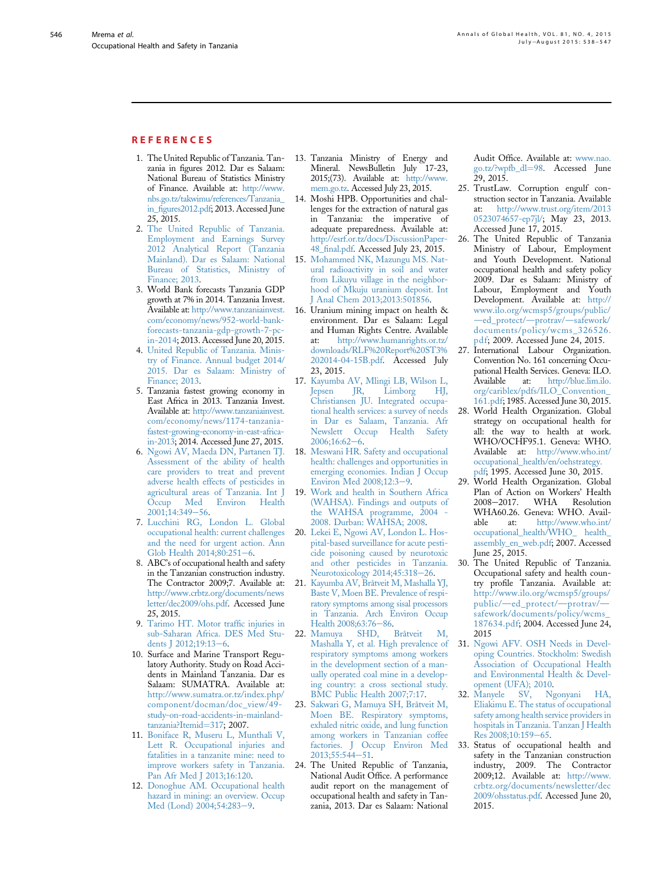#### <span id="page-8-0"></span>**REFERENCES**

- 1. The United Republic of Tanzania. Tanzania in figures 2012. Dar es Salaam: National Bureau of Statistics Ministry of Finance. Available at: [http://www.](http://www.nbs.go.tz/takwimu/references/Tanzania_in_figures2012.pdf) [nbs.go.tz/takwimu/references/Tanzania\\_](http://www.nbs.go.tz/takwimu/references/Tanzania_in_figures2012.pdf) in\_fi[gures2012.pdf;](http://www.nbs.go.tz/takwimu/references/Tanzania_in_figures2012.pdf) 2013. Accessed June 25, 2015.
- 2. [The United Republic of Tanzania.](http://refhub.elsevier.com/S2214-9996(15)01237-0/sref2) [Employment and Earnings Survey](http://refhub.elsevier.com/S2214-9996(15)01237-0/sref2) [2012 Analytical Report \(Tanzania](http://refhub.elsevier.com/S2214-9996(15)01237-0/sref2) [Mainland\). Dar es Salaam: National](http://refhub.elsevier.com/S2214-9996(15)01237-0/sref2) [Bureau of Statistics, Ministry of](http://refhub.elsevier.com/S2214-9996(15)01237-0/sref2) [Finance; 2013](http://refhub.elsevier.com/S2214-9996(15)01237-0/sref2).
- 3. World Bank forecasts Tanzania GDP growth at 7% in 2014. Tanzania Invest. Available at: [http://www.tanzaniainvest.](http://www.tanzaniainvest.com/economy/news/952-world-bank-forecasts-tanzania-gdp-growth-7-pc-in-2014) [com/economy/news/952-world-bank](http://www.tanzaniainvest.com/economy/news/952-world-bank-forecasts-tanzania-gdp-growth-7-pc-in-2014)[forecasts-tanzania-gdp-growth-7-pc](http://www.tanzaniainvest.com/economy/news/952-world-bank-forecasts-tanzania-gdp-growth-7-pc-in-2014)[in-2014;](http://www.tanzaniainvest.com/economy/news/952-world-bank-forecasts-tanzania-gdp-growth-7-pc-in-2014) 2013. Accessed June 20, 2015.
- 4. [United Republic of Tanzania. Minis](http://refhub.elsevier.com/S2214-9996(15)01237-0/sref4)[try of Finance. Annual budget 2014/](http://refhub.elsevier.com/S2214-9996(15)01237-0/sref4) [2015. Dar es Salaam: Ministry of](http://refhub.elsevier.com/S2214-9996(15)01237-0/sref4) [Finance; 2013](http://refhub.elsevier.com/S2214-9996(15)01237-0/sref4).
- 5. Tanzania fastest growing economy in East Africa in 2013. Tanzania Invest. Available at: [http://www.tanzaniainvest.](http://www.tanzaniainvest.com/economy/news/1174-tanzania-fastest-growing-economy-in-east-africa-in-2013) [com/economy/news/1174-tanzania](http://www.tanzaniainvest.com/economy/news/1174-tanzania-fastest-growing-economy-in-east-africa-in-2013)[fastest-growing-economy-in-east-africa](http://www.tanzaniainvest.com/economy/news/1174-tanzania-fastest-growing-economy-in-east-africa-in-2013)[in-2013;](http://www.tanzaniainvest.com/economy/news/1174-tanzania-fastest-growing-economy-in-east-africa-in-2013) 2014. Accessed June 27, 2015.
- 6. [Ngowi AV, Maeda DN, Partanen TJ.](http://refhub.elsevier.com/S2214-9996(15)01237-0/sref6) [Assessment of the ability of health](http://refhub.elsevier.com/S2214-9996(15)01237-0/sref6) [care providers to treat and prevent](http://refhub.elsevier.com/S2214-9996(15)01237-0/sref6) [adverse health effects of pesticides in](http://refhub.elsevier.com/S2214-9996(15)01237-0/sref6) [agricultural areas of Tanzania. Int J](http://refhub.elsevier.com/S2214-9996(15)01237-0/sref6) [Occup Med Environ Health](http://refhub.elsevier.com/S2214-9996(15)01237-0/sref6) [2001;14:349](http://refhub.elsevier.com/S2214-9996(15)01237-0/sref6)-[56](http://refhub.elsevier.com/S2214-9996(15)01237-0/sref6).
- 7. [Lucchini RG, London L. Global](http://refhub.elsevier.com/S2214-9996(15)01237-0/sref7) [occupational health: current challenges](http://refhub.elsevier.com/S2214-9996(15)01237-0/sref7) [and the need for urgent action. Ann](http://refhub.elsevier.com/S2214-9996(15)01237-0/sref7) [Glob Health 2014;80:251](http://refhub.elsevier.com/S2214-9996(15)01237-0/sref7)-[6.](http://refhub.elsevier.com/S2214-9996(15)01237-0/sref7)
- 8. ABC's of occupational health and safety in the Tanzanian construction industry. The Contractor 2009;7. Available at: [http://www.crbtz.org/documents/news](http://www.crbtz.org/documents/newsletter/dec2009/ohs.pdf) [letter/dec2009/ohs.pdf](http://www.crbtz.org/documents/newsletter/dec2009/ohs.pdf). Accessed June 25, 2015.
- 9. [Tarimo HT. Motor traf](http://refhub.elsevier.com/S2214-9996(15)01237-0/sref9)fic injuries in [sub-Saharan Africa. DES Med Stu](http://refhub.elsevier.com/S2214-9996(15)01237-0/sref9)[dents J 2012;19:13](http://refhub.elsevier.com/S2214-9996(15)01237-0/sref9)-[6](http://refhub.elsevier.com/S2214-9996(15)01237-0/sref9).
- 10. Surface and Marine Transport Regulatory Authority. Study on Road Accidents in Mainland Tanzania. Dar es Salaam: SUMATRA. Available at: [http://www.sumatra.or.tz/index.php/](http://www.sumatra.or.tz/index.php/component/docman/doc_view/49%2Dstudy%2Don%2Droad%2Daccidents%2Din%2Dmainland%2Dtanzania?Itemid=317) [component/docman/doc\\_view/49](http://www.sumatra.or.tz/index.php/component/docman/doc_view/49%2Dstudy%2Don%2Droad%2Daccidents%2Din%2Dmainland%2Dtanzania?Itemid=317) [study-on-road-accidents-in-mainland](http://www.sumatra.or.tz/index.php/component/docman/doc_view/49%2Dstudy%2Don%2Droad%2Daccidents%2Din%2Dmainland%2Dtanzania?Itemid=317)[tanzania?Itemid](http://www.sumatra.or.tz/index.php/component/docman/doc_view/49%2Dstudy%2Don%2Droad%2Daccidents%2Din%2Dmainland%2Dtanzania?Itemid=317)=[317;](http://www.sumatra.or.tz/index.php/component/docman/doc_view/49%2Dstudy%2Don%2Droad%2Daccidents%2Din%2Dmainland%2Dtanzania?Itemid=317) 2007.
- 11. [Boniface R, Museru L, Munthali V,](http://refhub.elsevier.com/S2214-9996(15)01237-0/sref11) [Lett R. Occupational injuries and](http://refhub.elsevier.com/S2214-9996(15)01237-0/sref11) [fatalities in a tanzanite mine: need to](http://refhub.elsevier.com/S2214-9996(15)01237-0/sref11) [improve workers safety in Tanzania.](http://refhub.elsevier.com/S2214-9996(15)01237-0/sref11) [Pan Afr Med J 2013;16:120.](http://refhub.elsevier.com/S2214-9996(15)01237-0/sref11)
- 12. [Donoghue AM. Occupational health](http://refhub.elsevier.com/S2214-9996(15)01237-0/sref12) [hazard in mining: an overview. Occup](http://refhub.elsevier.com/S2214-9996(15)01237-0/sref12) [Med \(Lond\) 2004;54:283](http://refhub.elsevier.com/S2214-9996(15)01237-0/sref12)-[9](http://refhub.elsevier.com/S2214-9996(15)01237-0/sref12).
- 13. Tanzania Ministry of Energy and Mineral. NewsBulletin July 17-23, 2015;(73). Available at: [http://www.](http://www.mem.go.tz) [mem.go.tz](http://www.mem.go.tz). Accessed July 23, 2015.
- 14. Moshi HPB. Opportunities and challenges for the extraction of natural gas in Tanzania: the imperative of adequate preparedness. Available at: [http://esrf.or.tz/docs/DiscussionPaper-](http://esrf.or.tz/docs/DiscussionPaper-48_final.pdf)48\_fi[nal.pdf.](http://esrf.or.tz/docs/DiscussionPaper-48_final.pdf) Accessed July 23, 2015.
- 15. [Mohammed NK, Mazungu MS. Nat](http://refhub.elsevier.com/S2214-9996(15)01237-0/sref15)[ural radioactivity in soil and water](http://refhub.elsevier.com/S2214-9996(15)01237-0/sref15) [from Likuyu village in the neighbor](http://refhub.elsevier.com/S2214-9996(15)01237-0/sref15)[hood of Mkuju uranium deposit. Int](http://refhub.elsevier.com/S2214-9996(15)01237-0/sref15) [J Anal Chem 2013;2013:501856](http://refhub.elsevier.com/S2214-9996(15)01237-0/sref15).
- 16. Uranium mining impact on health & environment. Dar es Salaam: Legal and Human Rights Centre. Available at: [http://www.humanrights.or.tz/](http://www.humanrights.or.tz/downloads/RLF%20Report%20ST3%202014-04-15B.pdf) [downloads/RLF%20Report%20ST3%](http://www.humanrights.or.tz/downloads/RLF%20Report%20ST3%202014-04-15B.pdf) [202014-04-15B.pdf.](http://www.humanrights.or.tz/downloads/RLF%20Report%20ST3%202014-04-15B.pdf) Accessed July 23, 2015.
- 17. [Kayumba AV, Mlingi LB, Wilson L,](http://refhub.elsevier.com/S2214-9996(15)01237-0/sref17)<br>Jepsen JR, Limborg HJ, Limborg [Christiansen JU. Integrated occupa](http://refhub.elsevier.com/S2214-9996(15)01237-0/sref17)[tional health services: a survey of needs](http://refhub.elsevier.com/S2214-9996(15)01237-0/sref17) [in Dar es Salaam, Tanzania. Afr](http://refhub.elsevier.com/S2214-9996(15)01237-0/sref17) [Newslett Occup Health Safety](http://refhub.elsevier.com/S2214-9996(15)01237-0/sref17)  $2006;16:62-6.$  $2006;16:62-6.$  $2006;16:62-6.$
- 18. [Meswani HR. Safety and occupational](http://refhub.elsevier.com/S2214-9996(15)01237-0/sref18) [health: challenges and opportunities in](http://refhub.elsevier.com/S2214-9996(15)01237-0/sref18) [emerging economies. Indian J Occup](http://refhub.elsevier.com/S2214-9996(15)01237-0/sref18) [Environ Med 2008;12:3](http://refhub.elsevier.com/S2214-9996(15)01237-0/sref18)-[9](http://refhub.elsevier.com/S2214-9996(15)01237-0/sref18).
- 19. [Work and health in Southern Africa](http://refhub.elsevier.com/S2214-9996(15)01237-0/sref19) [\(WAHSA\). Findings and outputs of](http://refhub.elsevier.com/S2214-9996(15)01237-0/sref19) the WAHSA programme, 2004 [2008. Durban: WAHSA; 2008](http://refhub.elsevier.com/S2214-9996(15)01237-0/sref19).
- 20. [Lekei E, Ngowi AV, London L. Hos](http://refhub.elsevier.com/S2214-9996(15)01237-0/sref20)[pital-based surveillance for acute pesti](http://refhub.elsevier.com/S2214-9996(15)01237-0/sref20)[cide poisoning caused by neurotoxic](http://refhub.elsevier.com/S2214-9996(15)01237-0/sref20) [and other pesticides in Tanzania.](http://refhub.elsevier.com/S2214-9996(15)01237-0/sref20) [Neurotoxicology 2014;45:318](http://refhub.elsevier.com/S2214-9996(15)01237-0/sref20)-[26](http://refhub.elsevier.com/S2214-9996(15)01237-0/sref20).
- 21. [Kayumba AV, Bråtveit M, Mashalla YJ,](http://refhub.elsevier.com/S2214-9996(15)01237-0/sref21) [Baste V, Moen BE. Prevalence of respi](http://refhub.elsevier.com/S2214-9996(15)01237-0/sref21)[ratory symptoms among sisal processors](http://refhub.elsevier.com/S2214-9996(15)01237-0/sref21) [in Tanzania. Arch Environ Occup](http://refhub.elsevier.com/S2214-9996(15)01237-0/sref21) [Health 2008;63:76](http://refhub.elsevier.com/S2214-9996(15)01237-0/sref21)–[86.](http://refhub.elsevier.com/S2214-9996(15)01237-0/sref21)<br>Mamuya SHD, Bråtveit
- 22. [Mamuya SHD, Bråtveit M,](http://refhub.elsevier.com/S2214-9996(15)01237-0/sref22) [Mashalla Y, et al. High prevalence of](http://refhub.elsevier.com/S2214-9996(15)01237-0/sref22) [respiratory symptoms among workers](http://refhub.elsevier.com/S2214-9996(15)01237-0/sref22) [in the development section of a man](http://refhub.elsevier.com/S2214-9996(15)01237-0/sref22)[ually operated coal mine in a develop](http://refhub.elsevier.com/S2214-9996(15)01237-0/sref22)[ing country: a cross sectional study.](http://refhub.elsevier.com/S2214-9996(15)01237-0/sref22) [BMC Public Health 2007;7:17.](http://refhub.elsevier.com/S2214-9996(15)01237-0/sref22)
- 23. [Sakwari G, Mamuya SH, Bråtveit M,](http://refhub.elsevier.com/S2214-9996(15)01237-0/sref23) [Moen BE. Respiratory symptoms,](http://refhub.elsevier.com/S2214-9996(15)01237-0/sref23) [exhaled nitric oxide, and lung function](http://refhub.elsevier.com/S2214-9996(15)01237-0/sref23) [among workers in Tanzanian coffee](http://refhub.elsevier.com/S2214-9996(15)01237-0/sref23) [factories. J Occup Environ Med](http://refhub.elsevier.com/S2214-9996(15)01237-0/sref23) [2013;55:544](http://refhub.elsevier.com/S2214-9996(15)01237-0/sref23)-[51.](http://refhub.elsevier.com/S2214-9996(15)01237-0/sref23)
- 24. The United Republic of Tanzania, National Audit Office. A performance audit report on the management of occupational health and safety in Tanzania, 2013. Dar es Salaam: National

Audit Office. Available at: [www.nao.](http://www.nao.go.tz/?wpfb_dl=98) [go.tz/?wpfb\\_dl](http://www.nao.go.tz/?wpfb_dl=98)¼[98.](http://www.nao.go.tz/?wpfb_dl=98) Accessed June  $29, 201\overline{5}$ .

- 25. TrustLaw. Corruption engulf construction sector in Tanzania. Available [http://www.trust.org/item/2013](http://www.trust.org/item/20130523074657-ep7jl/) [0523074657-ep7jl/](http://www.trust.org/item/20130523074657-ep7jl/); May 23, 2013. Accessed June 17, 2015.
- 26. The United Republic of Tanzania Ministry of Labour, Employment and Youth Development. National occupational health and safety policy 2009. Dar es Salaam: Ministry of Labour, Employment and Youth Development. Available at: [http://](http://www.ilo.org/wcmsp5/groups/public/%97ed_protect/%97protrav/%97safework/documents/policy/wcms_326526.pdf) [www.ilo.org/wcmsp5/groups/public/](http://www.ilo.org/wcmsp5/groups/public/%97ed_protect/%97protrav/%97safework/documents/policy/wcms_326526.pdf) -[ed\\_protect/](http://www.ilo.org/wcmsp5/groups/public/%97ed_protect/%97protrav/%97safework/documents/policy/wcms_326526.pdf)-[protrav/](http://www.ilo.org/wcmsp5/groups/public/%97ed_protect/%97protrav/%97safework/documents/policy/wcms_326526.pdf)-[safework/](http://www.ilo.org/wcmsp5/groups/public/%97ed_protect/%97protrav/%97safework/documents/policy/wcms_326526.pdf) documents/policy/wcms 326526. [pdf;](http://www.ilo.org/wcmsp5/groups/public/%97ed_protect/%97protrav/%97safework/documents/policy/wcms_326526.pdf) 2009. Accessed June 24, 2015.
- 27. International Labour Organization. Convention No. 161 concerning Occupational Health Services. Geneva: ILO.<br>Available at: http://blue.lim.ilo. [http://blue.lim.ilo.](http://blue.lim.ilo.org/cariblex/pdfs/ILO_Convention_161.pdf) [org/cariblex/pdfs/ILO\\_Convention\\_](http://blue.lim.ilo.org/cariblex/pdfs/ILO_Convention_161.pdf) [161.pdf](http://blue.lim.ilo.org/cariblex/pdfs/ILO_Convention_161.pdf); 1985. Accessed June 30, 2015.
- 28. World Health Organization. Global strategy on occupational health for all: the way to health at work. WHO/OCHF95.1. Geneva: WHO. Available at: [http://www.who.int/](http://www.who.int/occupational_health/en/oehstrategy.pdf) [occupational\\_health/en/oehstrategy.](http://www.who.int/occupational_health/en/oehstrategy.pdf) [pdf](http://www.who.int/occupational_health/en/oehstrategy.pdf); 1995. Accessed June 30, 2015.
- 29. World Health Organization. Global Plan of Action on Workers' Health<br>2008–2017. WHA Resolution Resolution WHA60.26. Geneva: WHO. Available at: [http://www.who.int/](http://www.who.int/occupational_health/WHO_%20health_assembly_en_web.pdf) [occupational\\_health/WHO\\_ health\\_](http://www.who.int/occupational_health/WHO_%20health_assembly_en_web.pdf) [assembly\\_en\\_web.pdf](http://www.who.int/occupational_health/WHO_%20health_assembly_en_web.pdf); 2007. Accessed June 25, 2015.
- 30. The United Republic of Tanzania. Occupational safety and health country profile Tanzania. Available at: [http://www.ilo.org/wcmsp5/groups/](http://www.ilo.org/wcmsp5/groups/public/---ed_protect/---protrav/---safework/documents/policy/wcms_187634.pdf) public/—[ed\\_protect/](http://www.ilo.org/wcmsp5/groups/public/---ed_protect/---protrav/---safework/documents/policy/wcms_187634.pdf)—protrav/ [safework/documents/policy/wcms\\_](http://www.ilo.org/wcmsp5/groups/public/---ed_protect/---protrav/---safework/documents/policy/wcms_187634.pdf) [187634.pdf](http://www.ilo.org/wcmsp5/groups/public/---ed_protect/---protrav/---safework/documents/policy/wcms_187634.pdf); 2004. Accessed June 24, 2015
- 31. [Ngowi AFV. OSH Needs in Devel](http://refhub.elsevier.com/S2214-9996(15)01237-0/sref31)[oping Countries. Stockholm: Swedish](http://refhub.elsevier.com/S2214-9996(15)01237-0/sref31) [Association of Occupational Health](http://refhub.elsevier.com/S2214-9996(15)01237-0/sref31) [and Environmental Health & Devel](http://refhub.elsevier.com/S2214-9996(15)01237-0/sref31)[opment \(UFA\); 2010.](http://refhub.elsevier.com/S2214-9996(15)01237-0/sref31)
- 32. [Manyele SV, Ngonyani HA,](http://refhub.elsevier.com/S2214-9996(15)01237-0/sref32) [Eliakimu E. The status of occupational](http://refhub.elsevier.com/S2214-9996(15)01237-0/sref32) [safety among health service providers in](http://refhub.elsevier.com/S2214-9996(15)01237-0/sref32) [hospitals in Tanzania. Tanzan J Health](http://refhub.elsevier.com/S2214-9996(15)01237-0/sref32) [Res 2008;10:159](http://refhub.elsevier.com/S2214-9996(15)01237-0/sref32)-[65](http://refhub.elsevier.com/S2214-9996(15)01237-0/sref32).
- 33. Status of occupational health and safety in the Tanzanian construction industry, 2009. The Contractor 2009;12. Available at: [http://www.](http://www.crbtz.org/documents/newsletter/dec2009/ohsstatus.pdf) [crbtz.org/documents/newsletter/dec](http://www.crbtz.org/documents/newsletter/dec2009/ohsstatus.pdf) [2009/ohsstatus.pdf](http://www.crbtz.org/documents/newsletter/dec2009/ohsstatus.pdf). Accessed June 20, 2015.